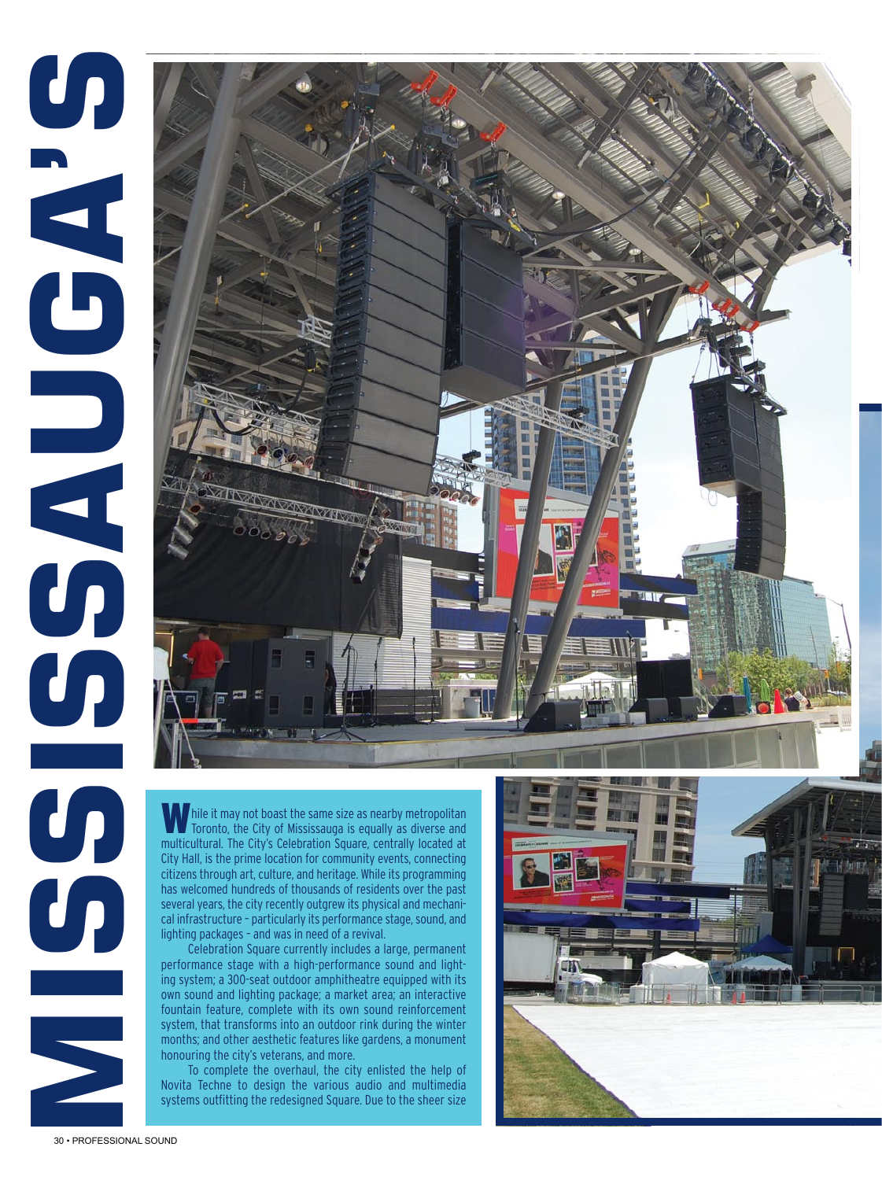## **Mississauga the redesigned Square Square Square Square Square Square Square Square Square Square Square Square Square Square Square Square Square Square Square Square Square Square Square Square Square Square Square Squar**





Celebration Square currently includes a large, permanent performance stage with a high-performance sound and lighting system; a 300-seat outdoor amphitheatre equipped with its own sound and lighting package; a market area; an interactive fountain feature, complete with its own sound reinforcement system, that transforms into an outdoor rink during the winter months; and other aesthetic features like gardens, a monument honouring the city's veterans, and more.

To complete the overhaul, the city enlisted the help of Novita Techne to design the various audio and multimedia

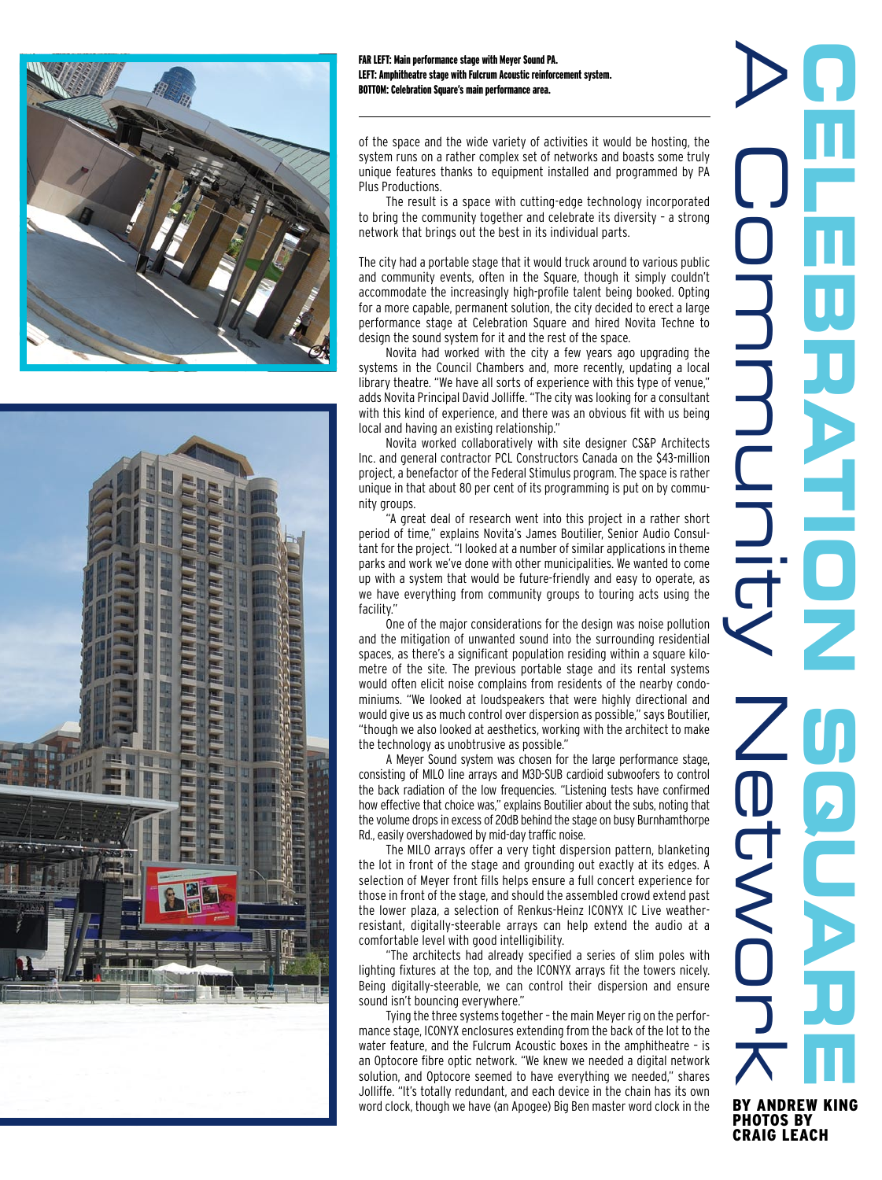



FAR LEFT: Main performance stage with Meyer Sound PA. LEFT: Amphitheatre stage with Fulcrum Acoustic reinforcement system. BOTTOM: Celebration Square's main performance area.

of the space and the wide variety of activities it would be hosting, the system runs on a rather complex set of networks and boasts some truly unique features thanks to equipment installed and programmed by PA Plus Productions.

The result is a space with cutting-edge technology incorporated to bring the community together and celebrate its diversity – a strong network that brings out the best in its individual parts.

The city had a portable stage that it would truck around to various public and community events, often in the Square, though it simply couldn't accommodate the increasingly high-profile talent being booked. Opting for a more capable, permanent solution, the city decided to erect a large performance stage at Celebration Square and hired Novita Techne to design the sound system for it and the rest of the space.

Novita had worked with the city a few years ago upgrading the systems in the Council Chambers and, more recently, updating a local library theatre. "We have all sorts of experience with this type of venue," adds Novita Principal David Jolliffe. "The city was looking for a consultant with this kind of experience, and there was an obvious fit with us being local and having an existing relationship."

Novita worked collaboratively with site designer CS&P Architects Inc. and general contractor PCL Constructors Canada on the \$43-million project, a benefactor of the Federal Stimulus program. The space is rather unique in that about 80 per cent of its programming is put on by community groups.

"A great deal of research went into this project in a rather short period of time," explains Novita's James Boutilier, Senior Audio Consultant for the project. "I looked at a number of similar applications in theme parks and work we've done with other municipalities. We wanted to come up with a system that would be future-friendly and easy to operate, as we have everything from community groups to touring acts using the facility."

One of the major considerations for the design was noise pollution and the mitigation of unwanted sound into the surrounding residential spaces, as there's a significant population residing within a square kilometre of the site. The previous portable stage and its rental systems would often elicit noise complains from residents of the nearby condominiums. "We looked at loudspeakers that were highly directional and would give us as much control over dispersion as possible," says Boutilier, "though we also looked at aesthetics, working with the architect to make the technology as unobtrusive as possible."

A Meyer Sound system was chosen for the large performance stage, consisting of MILO line arrays and M3D-SUB cardioid subwoofers to control the back radiation of the low frequencies. "Listening tests have confirmed how effective that choice was," explains Boutilier about the subs, noting that the volume drops in excess of 20dB behind the stage on busy Burnhamthorpe Rd., easily overshadowed by mid-day traffic noise.

The MILO arrays offer a very tight dispersion pattern, blanketing the lot in front of the stage and grounding out exactly at its edges. A selection of Meyer front fills helps ensure a full concert experience for those in front of the stage, and should the assembled crowd extend past the lower plaza, a selection of Renkus-Heinz ICONYX IC Live weatherresistant, digitally-steerable arrays can help extend the audio at a comfortable level with good intelligibility.

"The architects had already specified a series of slim poles with lighting fixtures at the top, and the ICONYX arrays fit the towers nicely. Being digitally-steerable, we can control their dispersion and ensure sound isn't bouncing everywhere."

Tying the three systems together – the main Meyer rig on the performance stage, ICONYX enclosures extending from the back of the lot to the water feature, and the Fulcrum Acoustic boxes in the amphitheatre – is an Optocore fibre optic network. "We knew we needed a digital network solution, and Optocore seemed to have everything we needed," shares Jolliffe. "It's totally redundant, and each device in the chain has its own word clock, though we have (an Apogee) Big Ben master word clock in the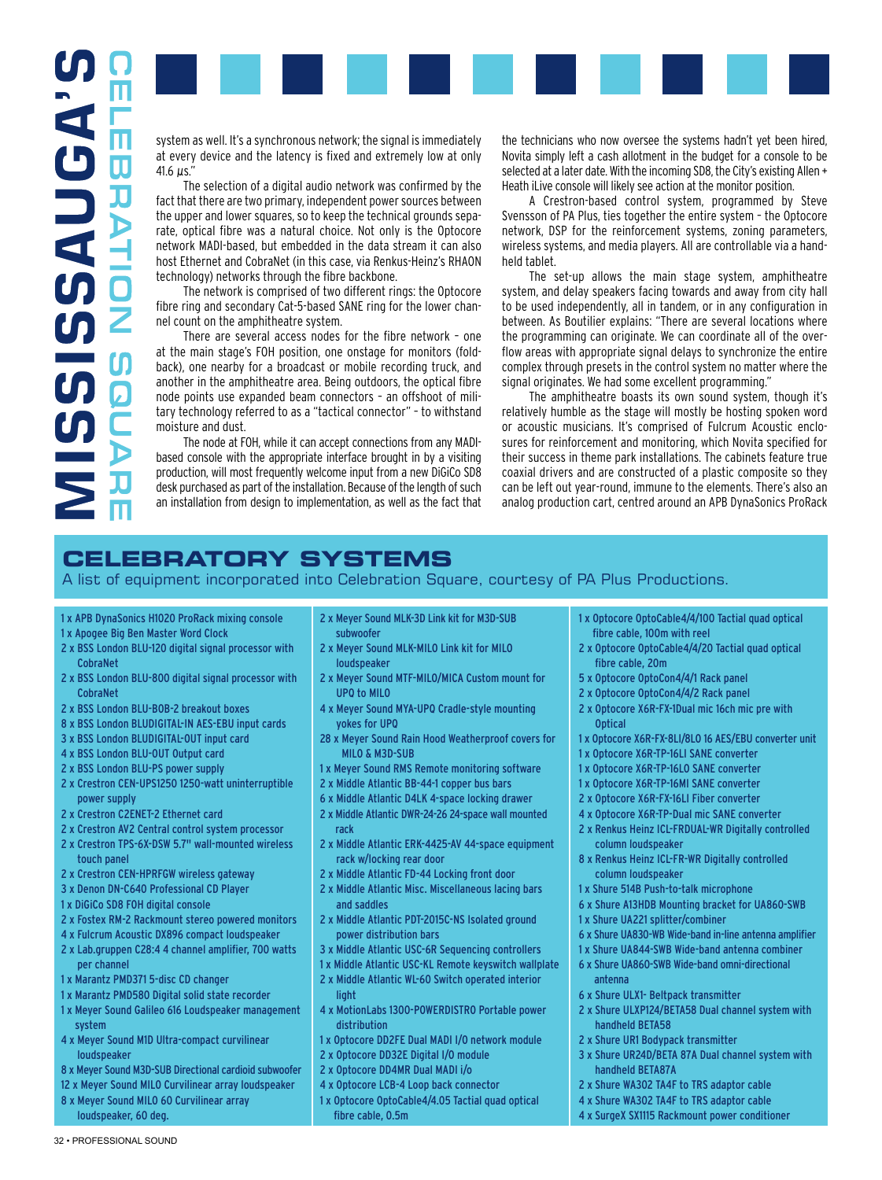

system as well. It's a synchronous network; the signal is immediately at every device and the latency is fixed and extremely low at only 41.6 µs."

The selection of a digital audio network was confirmed by the fact that there are two primary, independent power sources between the upper and lower squares, so to keep the technical grounds separate, optical fibre was a natural choice. Not only is the Optocore network MADI-based, but embedded in the data stream it can also host Ethernet and CobraNet (in this case, via Renkus-Heinz's RHAON technology) networks through the fibre backbone.

The network is comprised of two different rings: the Optocore fibre ring and secondary Cat-5-based SANE ring for the lower channel count on the amphitheatre system.

There are several access nodes for the fibre network – one at the main stage's FOH position, one onstage for monitors (foldback), one nearby for a broadcast or mobile recording truck, and another in the amphitheatre area. Being outdoors, the optical fibre node points use expanded beam connectors – an offshoot of military technology referred to as a "tactical connector" – to withstand moisture and dust.

The node at FOH, while it can accept connections from any MADIbased console with the appropriate interface brought in by a visiting production, will most frequently welcome input from a new DiGiCo SD8 desk purchased as part of the installation. Because of the length of such an installation from design to implementation, as well as the fact that

the technicians who now oversee the systems hadn't yet been hired, Novita simply left a cash allotment in the budget for a console to be selected at a later date. With the incoming SD8, the City's existing Allen + Heath iLive console will likely see action at the monitor position.

A Crestron-based control system, programmed by Steve Svensson of PA Plus, ties together the entire system – the Optocore network, DSP for the reinforcement systems, zoning parameters, wireless systems, and media players. All are controllable via a handheld tablet.

The set-up allows the main stage system, amphitheatre system, and delay speakers facing towards and away from city hall to be used independently, all in tandem, or in any configuration in between. As Boutilier explains: "There are several locations where the programming can originate. We can coordinate all of the overflow areas with appropriate signal delays to synchronize the entire complex through presets in the control system no matter where the signal originates. We had some excellent programming."

The amphitheatre boasts its own sound system, though it's relatively humble as the stage will mostly be hosting spoken word or acoustic musicians. It's comprised of Fulcrum Acoustic enclosures for reinforcement and monitoring, which Novita specified for their success in theme park installations. The cabinets feature true coaxial drivers and are constructed of a plastic composite so they can be left out year-round, immune to the elements. There's also an analog production cart, centred around an APB DynaSonics ProRack

## **Celebratory Systems**

A list of equipment incorporated into Celebration Square, courtesy of PA Plus Productions.

## 1 x APB DynaSonics H1020 ProRack mixing console

- 1 x Apogee Big Ben Master Word Clock
- 2 x BSS London BLU-120 digital signal processor with CobraNet
- 2 x BSS London BLU-800 digital signal processor with CobraNet
- 2 x BSS London BLU-BOB-2 breakout boxes
- 8 x BSS London BLUDIGITAL-IN AES-EBU input cards
- 3 x BSS London BLUDIGITAL-OUT input card
- 4 x BSS London BLU-OUT Output card
- 2 x BSS London BLU-PS power supply
- 2 x Crestron CEN-UPS1250 1250-watt uninterruptible power supply
- 2 x Crestron C2ENET-2 Ethernet card
- 2 x Crestron AV2 Central control system processor
- 2 x Crestron TPS-6X-DSW 5.7" wall-mounted wireless touch panel
- 2 x Crestron CEN-HPRFGW wireless gateway
- 3 x Denon DN-C640 Professional CD Player
- 1 x DiGiCo SD8 FOH digital console
- 2 x Fostex RM-2 Rackmount stereo powered monitors
- 4 x Fulcrum Acoustic DX896 compact loudspeaker
- 2 x Lab.gruppen C28:4 4 channel amplifier, 700 watts per channel
- 1 x Marantz PMD371 5-disc CD changer
- 1 x Marantz PMD580 Digital solid state recorder
- 1 x Meyer Sound Galileo 616 Loudspeaker management system
- 4 x Meyer Sound M1D Ultra-compact curvilinear loudspeaker
- 8 x Meyer Sound M3D-SUB Directional cardioid subwoofer
- 12 x Meyer Sound MILO Curvilinear array loudspeaker
- 8 x Meyer Sound MILO 60 Curvilinear array loudspeaker, 60 deg.
- 2 x Meyer Sound MLK-3D Link kit for M3D-SUB subwoofer
- 2 x Meyer Sound MLK-MILO Link kit for MILO loudspeaker
- 2 x Meyer Sound MTF-MILO/MICA Custom mount for UPQ to MILO
- 4 x Meyer Sound MYA-UPQ Cradle-style mounting yokes for UPQ
- 28 x Meyer Sound Rain Hood Weatherproof covers for MILO & M3D-SUB
- 1 x Meyer Sound RMS Remote monitoring software
- 2 x Middle Atlantic BB-44-1 copper bus bars
- 6 x Middle Atlantic D4LK 4-space locking drawer
- 2 x Middle Atlantic DWR-24-26 24-space wall mounted rack
- 2 x Middle Atlantic ERK-4425-AV 44-space equipment rack w/locking rear door
- 2 x Middle Atlantic FD-44 Locking front door
- 2 x Middle Atlantic Misc. Miscellaneous lacing bars and saddles
- 2 x Middle Atlantic PDT-2015C-NS Isolated ground power distribution bars
- 3 x Middle Atlantic USC-6R Sequencing controllers
- 1 x Middle Atlantic USC-KL Remote keyswitch wallplate
- 2 x Middle Atlantic WL-60 Switch operated interior **light**
- 4 x MotionLabs 1300-POWERDISTRO Portable power distribution
- 1 x Optocore DD2FE Dual MADI I/O network module
- 2 x Optocore DD32E Digital I/O module
- 2 x Optocore DD4MR Dual MADI i/o
- 4 x Optocore LCB-4 Loop back connector
- 1 x Optocore OptoCable4/4.05 Tactial quad optical fibre cable, 0.5m
- 1 x Optocore OptoCable4/4/100 Tactial quad optical fibre cable, 100m with reel
- 2 x Optocore OptoCable4/4/20 Tactial quad optical fibre cable, 20m
- 5 x Optocore OptoCon4/4/1 Rack panel
- 2 x Optocore OptoCon4/4/2 Rack panel
- 2 x Optocore X6R-FX-1Dual mic 16ch mic pre with Optical
- 1 x Optocore X6R-FX-8LI/8LO 16 AES/EBU converter unit
- 1 x Optocore X6R-TP-16LI SANE converter
- 1 x Optocore X6R-TP-16LO SANE converter
- 1 x Optocore X6R-TP-16MI SANE converter
- 2 x Optocore X6R-FX-16LI Fiber converter
- 4 x Optocore X6R-TP-Dual mic SANE converter
- 2 x Renkus Heinz ICL-FRDUAL-WR Digitally controlled column loudspeaker
- 8 x Renkus Heinz ICL-FR-WR Digitally controlled column loudspeaker
- 1 x Shure 514B Push-to-talk microphone
- 6 x Shure A13HDB Mounting bracket for UA860-SWB
- 1 x Shure UA221 splitter/combiner
- 6 x Shure UA830-WB Wide-band in-line antenna amplifier
- 1 x Shure UA844-SWB Wide-band antenna combiner
- 6 x Shure UA860-SWB Wide-band omni-directional antenna
- 6 x Shure ULX1- Beltpack transmitter
- 2 x Shure ULXP124/BETA58 Dual channel system with handheld BETA58
- 2 x Shure UR1 Bodypack transmitter
- 3 x Shure UR24D/BETA 87A Dual channel system with handheld BETA87A
- 2 x Shure WA302 TA4F to TRS adaptor cable
- 4 x Shure WA302 TA4F to TRS adaptor cable
- 4 x SurgeX SX1115 Rackmount power conditioner